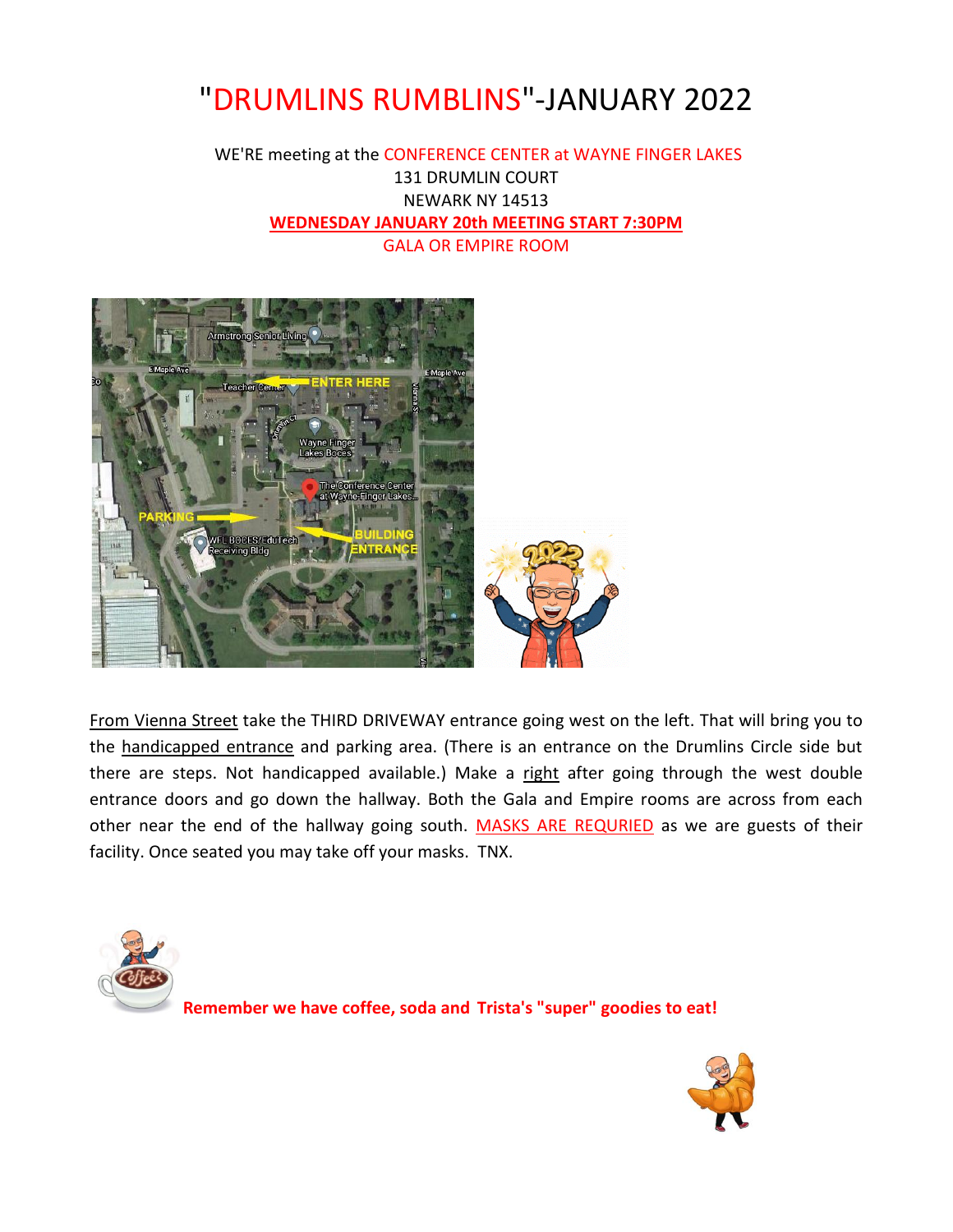## "DRUMLINS RUMBLINS"-JANUARY 2022

#### WE'RE meeting at the CONFERENCE CENTER at WAYNE FINGER LAKES 131 DRUMLIN COURT NEWARK NY 14513 **WEDNESDAY JANUARY 20th MEETING START 7:30PM** GALA OR EMPIRE ROOM



From Vienna Street take the THIRD DRIVEWAY entrance going west on the left. That will bring you to the handicapped entrance and parking area. (There is an entrance on the Drumlins Circle side but there are steps. Not handicapped available.) Make a right after going through the west double entrance doors and go down the hallway. Both the Gala and Empire rooms are across from each other near the end of the hallway going south. MASKS ARE REQURIED as we are guests of their facility. Once seated you may take off your masks. TNX.



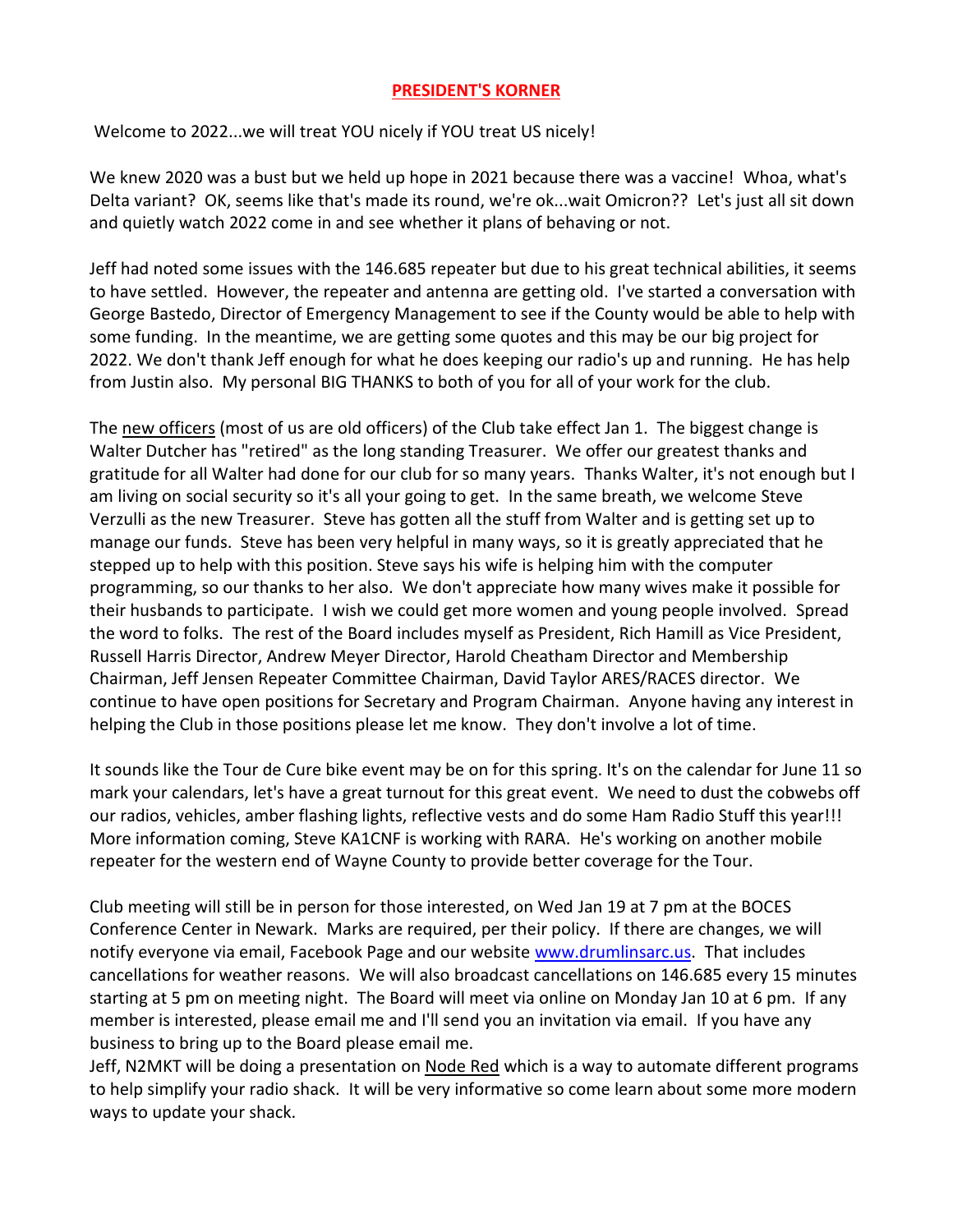#### **PRESIDENT'S KORNER**

Welcome to 2022...we will treat YOU nicely if YOU treat US nicely!

We knew 2020 was a bust but we held up hope in 2021 because there was a vaccine! Whoa, what's Delta variant? OK, seems like that's made its round, we're ok...wait Omicron?? Let's just all sit down and quietly watch 2022 come in and see whether it plans of behaving or not.

Jeff had noted some issues with the 146.685 repeater but due to his great technical abilities, it seems to have settled. However, the repeater and antenna are getting old. I've started a conversation with George Bastedo, Director of Emergency Management to see if the County would be able to help with some funding. In the meantime, we are getting some quotes and this may be our big project for 2022. We don't thank Jeff enough for what he does keeping our radio's up and running. He has help from Justin also. My personal BIG THANKS to both of you for all of your work for the club.

The new officers (most of us are old officers) of the Club take effect Jan 1. The biggest change is Walter Dutcher has "retired" as the long standing Treasurer. We offer our greatest thanks and gratitude for all Walter had done for our club for so many years. Thanks Walter, it's not enough but I am living on social security so it's all your going to get. In the same breath, we welcome Steve Verzulli as the new Treasurer. Steve has gotten all the stuff from Walter and is getting set up to manage our funds. Steve has been very helpful in many ways, so it is greatly appreciated that he stepped up to help with this position. Steve says his wife is helping him with the computer programming, so our thanks to her also. We don't appreciate how many wives make it possible for their husbands to participate. I wish we could get more women and young people involved. Spread the word to folks. The rest of the Board includes myself as President, Rich Hamill as Vice President, Russell Harris Director, Andrew Meyer Director, Harold Cheatham Director and Membership Chairman, Jeff Jensen Repeater Committee Chairman, David Taylor ARES/RACES director. We continue to have open positions for Secretary and Program Chairman. Anyone having any interest in helping the Club in those positions please let me know. They don't involve a lot of time.

It sounds like the Tour de Cure bike event may be on for this spring. It's on the calendar for June 11 so mark your calendars, let's have a great turnout for this great event. We need to dust the cobwebs off our radios, vehicles, amber flashing lights, reflective vests and do some Ham Radio Stuff this year!!! More information coming, Steve KA1CNF is working with RARA. He's working on another mobile repeater for the western end of Wayne County to provide better coverage for the Tour.

Club meeting will still be in person for those interested, on Wed Jan 19 at 7 pm at the BOCES Conference Center in Newark. Marks are required, per their policy. If there are changes, we will notify everyone via email, Facebook Page and our website [www.drumlinsarc.us.](http://www.drumlinsarc.us/) That includes cancellations for weather reasons. We will also broadcast cancellations on 146.685 every 15 minutes starting at 5 pm on meeting night. The Board will meet via online on Monday Jan 10 at 6 pm. If any member is interested, please email me and I'll send you an invitation via email. If you have any business to bring up to the Board please email me.

Jeff, N2MKT will be doing a presentation on Node Red which is a way to automate different programs to help simplify your radio shack. It will be very informative so come learn about some more modern ways to update your shack.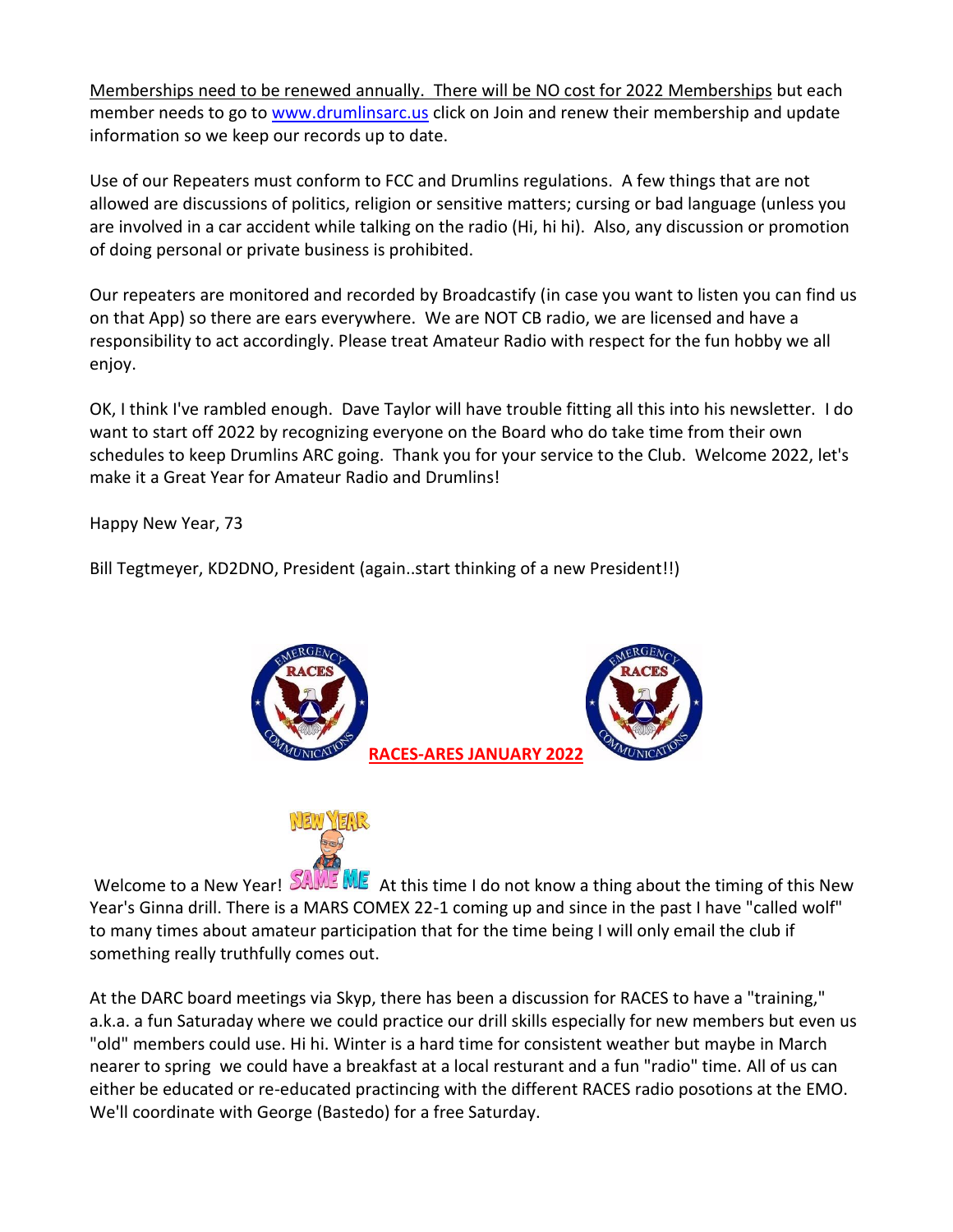Memberships need to be renewed annually. There will be NO cost for 2022 Memberships but each member needs to go to [www.drumlinsarc.us](http://www.drumlinsarc.us/) click on Join and renew their membership and update information so we keep our records up to date.

Use of our Repeaters must conform to FCC and Drumlins regulations. A few things that are not allowed are discussions of politics, religion or sensitive matters; cursing or bad language (unless you are involved in a car accident while talking on the radio (Hi, hi hi). Also, any discussion or promotion of doing personal or private business is prohibited.

Our repeaters are monitored and recorded by Broadcastify (in case you want to listen you can find us on that App) so there are ears everywhere. We are NOT CB radio, we are licensed and have a responsibility to act accordingly. Please treat Amateur Radio with respect for the fun hobby we all enjoy.

OK, I think I've rambled enough. Dave Taylor will have trouble fitting all this into his newsletter. I do want to start off 2022 by recognizing everyone on the Board who do take time from their own schedules to keep Drumlins ARC going. Thank you for your service to the Club. Welcome 2022, let's make it a Great Year for Amateur Radio and Drumlins!

Happy New Year, 73

Bill Tegtmeyer, KD2DNO, President (again..start thinking of a new President!!)





Welcome to a New Year!  $54M\%$  At this time I do not know a thing about the timing of this New Year's Ginna drill. There is a MARS COMEX 22-1 coming up and since in the past I have "called wolf" to many times about amateur participation that for the time being I will only email the club if something really truthfully comes out.

At the DARC board meetings via Skyp, there has been a discussion for RACES to have a "training," a.k.a. a fun Saturaday where we could practice our drill skills especially for new members but even us "old" members could use. Hi hi. Winter is a hard time for consistent weather but maybe in March nearer to spring we could have a breakfast at a local resturant and a fun "radio" time. All of us can either be educated or re-educated practincing with the different RACES radio posotions at the EMO. We'll coordinate with George (Bastedo) for a free Saturday.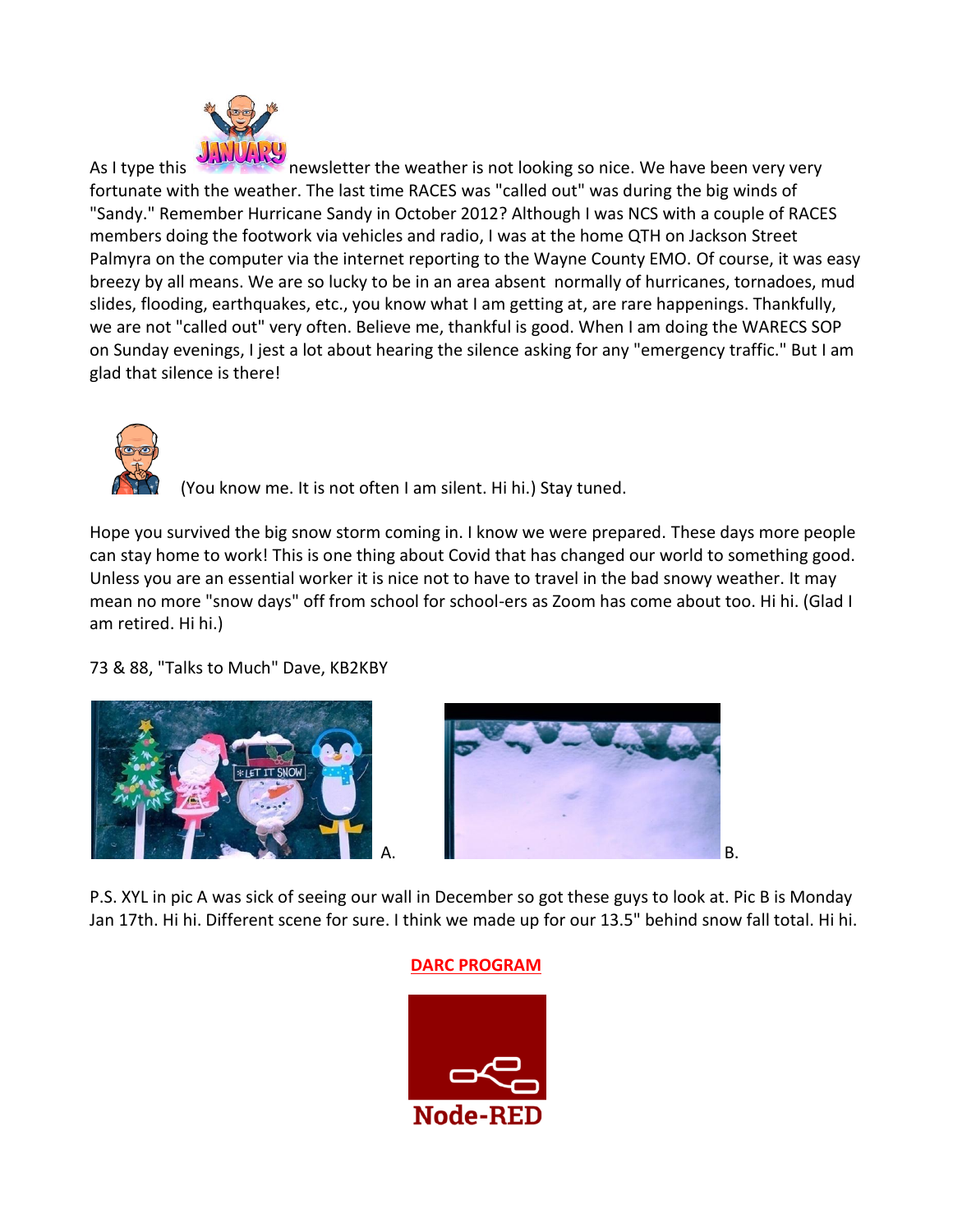

As I type this newsletter the weather is not looking so nice. We have been very very fortunate with the weather. The last time RACES was "called out" was during the big winds of "Sandy." Remember Hurricane Sandy in October 2012? Although I was NCS with a couple of RACES members doing the footwork via vehicles and radio, I was at the home QTH on Jackson Street Palmyra on the computer via the internet reporting to the Wayne County EMO. Of course, it was easy breezy by all means. We are so lucky to be in an area absent normally of hurricanes, tornadoes, mud slides, flooding, earthquakes, etc., you know what I am getting at, are rare happenings. Thankfully, we are not "called out" very often. Believe me, thankful is good. When I am doing the WARECS SOP on Sunday evenings, I jest a lot about hearing the silence asking for any "emergency traffic." But I am glad that silence is there!



(You know me. It is not often I am silent. Hi hi.) Stay tuned.

Hope you survived the big snow storm coming in. I know we were prepared. These days more people can stay home to work! This is one thing about Covid that has changed our world to something good. Unless you are an essential worker it is nice not to have to travel in the bad snowy weather. It may mean no more "snow days" off from school for school-ers as Zoom has come about too. Hi hi. (Glad I am retired. Hi hi.)

73 & 88, "Talks to Much" Dave, KB2KBY





P.S. XYL in pic A was sick of seeing our wall in December so got these guys to look at. Pic B is Monday Jan 17th. Hi hi. Different scene for sure. I think we made up for our 13.5" behind snow fall total. Hi hi.

#### **DARC PROGRAM**

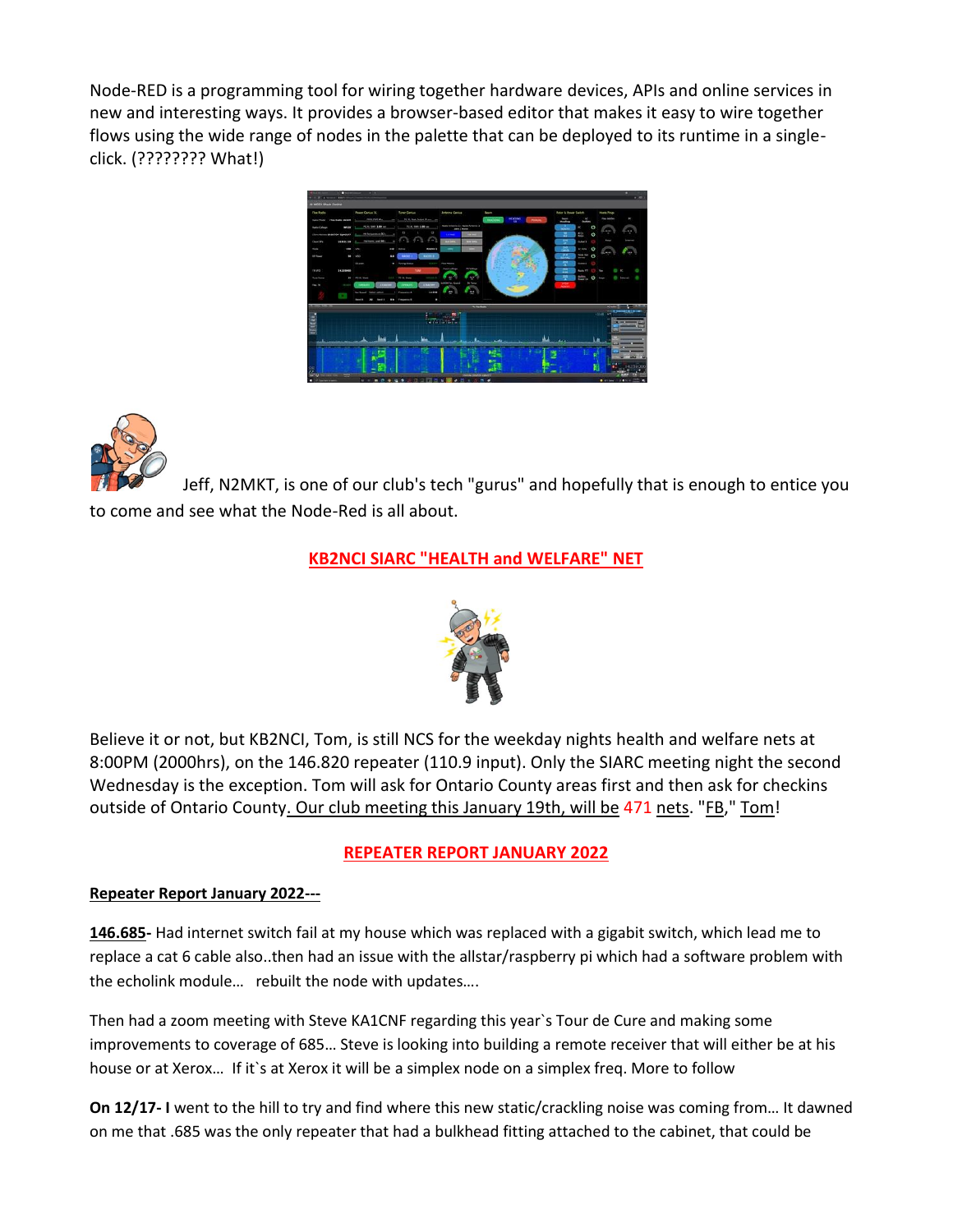Node-RED is a programming tool for wiring together hardware devices, APIs and online services in new and interesting ways. It provides a browser-based editor that makes it easy to wire together flows using the wide range of nodes in the palette that can be deployed to its runtime in a singleclick. (???????? What!)





Jeff, N2MKT, is one of our club's tech "gurus" and hopefully that is enough to entice you to come and see what the Node-Red is all about.

#### **KB2NCI SIARC "HEALTH and WELFARE" NET**



Believe it or not, but KB2NCI, Tom, is still NCS for the weekday nights health and welfare nets at 8:00PM (2000hrs), on the 146.820 repeater (110.9 input). Only the SIARC meeting night the second Wednesday is the exception. Tom will ask for Ontario County areas first and then ask for checkins outside of Ontario County. Our club meeting this January 19th, will be 471 nets. "FB," Tom!

#### **REPEATER REPORT JANUARY 2022**

#### **Repeater Report January 2022---**

**146.685-** Had internet switch fail at my house which was replaced with a gigabit switch, which lead me to replace a cat 6 cable also..then had an issue with the allstar/raspberry pi which had a software problem with the echolink module… rebuilt the node with updates….

Then had a zoom meeting with Steve KA1CNF regarding this year`s Tour de Cure and making some improvements to coverage of 685… Steve is looking into building a remote receiver that will either be at his house or at Xerox... If it's at Xerox it will be a simplex node on a simplex freq. More to follow

**On 12/17- I** went to the hill to try and find where this new static/crackling noise was coming from… It dawned on me that .685 was the only repeater that had a bulkhead fitting attached to the cabinet, that could be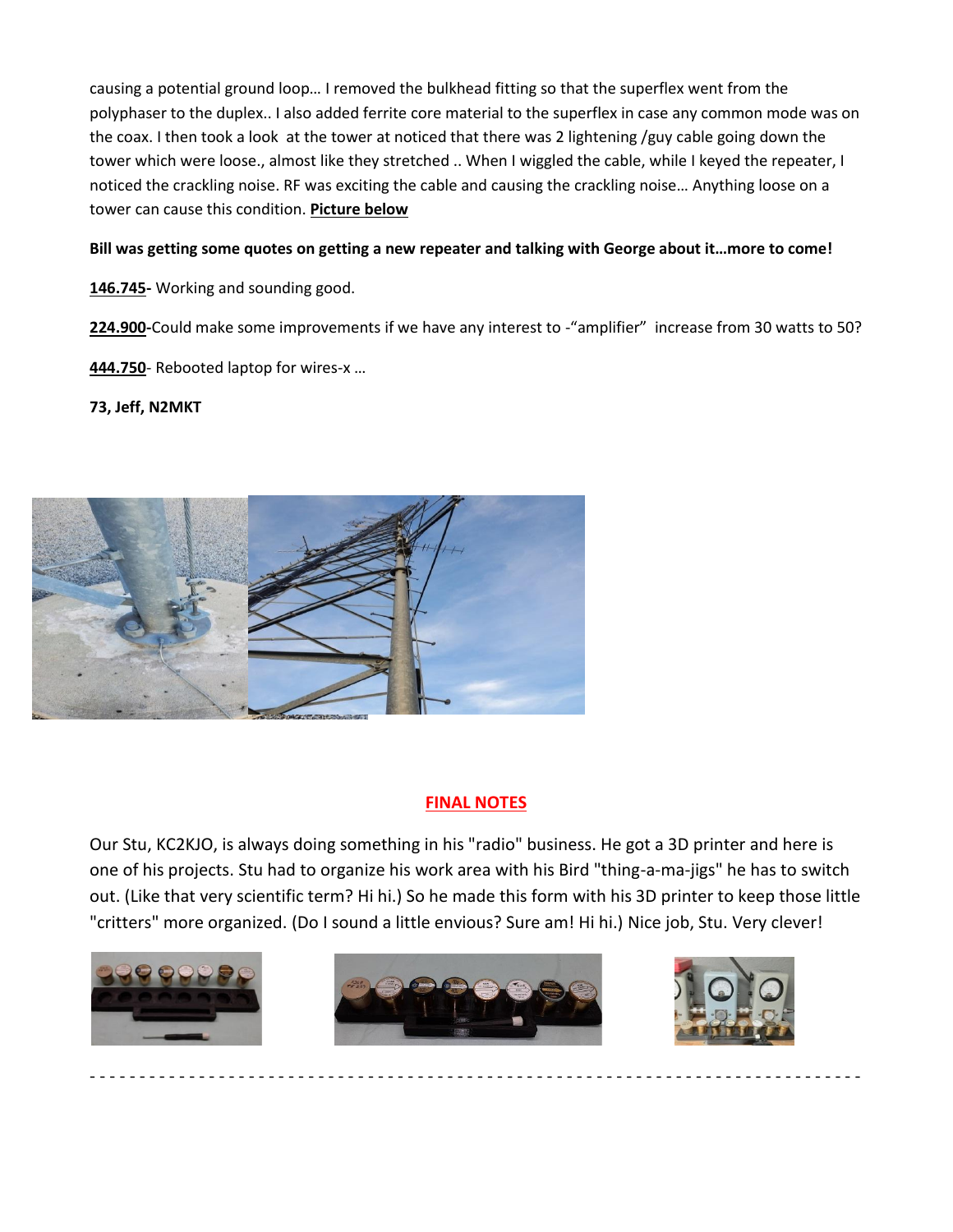causing a potential ground loop… I removed the bulkhead fitting so that the superflex went from the polyphaser to the duplex.. I also added ferrite core material to the superflex in case any common mode was on the coax. I then took a look at the tower at noticed that there was 2 lightening /guy cable going down the tower which were loose., almost like they stretched .. When I wiggled the cable, while I keyed the repeater, I noticed the crackling noise. RF was exciting the cable and causing the crackling noise… Anything loose on a tower can cause this condition. **Picture below**

#### **Bill was getting some quotes on getting a new repeater and talking with George about it…more to come!**

**146.745-** Working and sounding good.

**224.900-**Could make some improvements if we have any interest to -"amplifier" increase from 30 watts to 50?

**444.750**- Rebooted laptop for wires-x …

**73, Jeff, N2MKT**



#### **FINAL NOTES**

Our Stu, KC2KJO, is always doing something in his "radio" business. He got a 3D printer and here is one of his projects. Stu had to organize his work area with his Bird "thing-a-ma-jigs" he has to switch out. (Like that very scientific term? Hi hi.) So he made this form with his 3D printer to keep those little "critters" more organized. (Do I sound a little envious? Sure am! Hi hi.) Nice job, Stu. Very clever!





- - - - - - - - - - - - - - - - - - - - - - - - - - - - - - - - - - - - - - - - - - - - - - - - - - - - - - - - - - - - - - - - - - - - - - - - - - - - - -

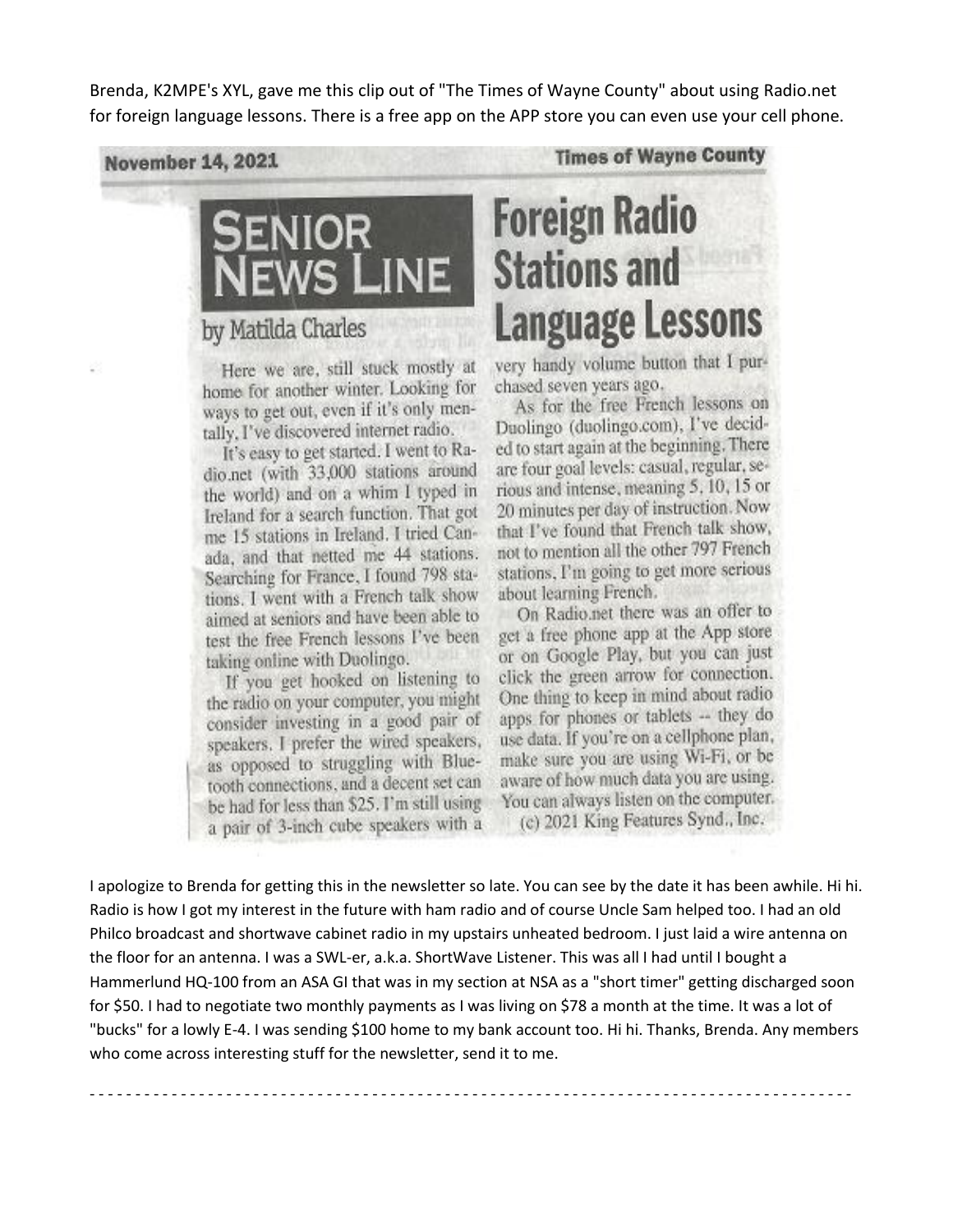Brenda, K2MPE's XYL, gave me this clip out of "The Times of Wayne County" about using Radio.net for foreign language lessons. There is a free app on the APP store you can even use your cell phone.

**November 14, 2021** 

### by Matilda Charles

Here we are, still stuck mostly at home for another winter. Looking for ways to get out, even if it's only mentally, I've discovered internet radio.

It's easy to get started. I went to Radio.net (with 33,000 stations around the world) and on a whim I typed in Ireland for a search function. That got me 15 stations in Ireland. I tried Canada, and that netted me 44 stations. Searching for France, I found 798 stations. I went with a French talk show aimed at seniors and have been able to test the free French lessons I've been taking online with Duolingo.

If you get hooked on listening to the radio on your computer, you might consider investing in a good pair of speakers. I prefer the wired speakers, as opposed to struggling with Bluetooth connections, and a decent set can be had for less than \$25. I'm still using a pair of 3-inch cube speakers with a **Times of Wayne County** 

# **Foreign Radio Stations and Language Lessons**

very handy volume button that I purchased seven years ago.

As for the free French lessons on Duolingo (duolingo.com), I've decided to start again at the beginning. There are four goal levels: casual, regular, serious and intense, meaning 5, 10, 15 or 20 minutes per day of instruction. Now that I've found that French talk show, not to mention all the other 797 French stations, I'm going to get more serious about learning French.

On Radio.net there was an offer to get a free phone app at the App store or on Google Play, but you can just click the green arrow for connection. One thing to keep in mind about radio apps for phones or tablets -- they do use data. If you're on a cellphone plan, make sure you are using Wi-Fi, or be aware of how much data you are using. You can always listen on the computer. (c) 2021 King Features Synd., Inc.

I apologize to Brenda for getting this in the newsletter so late. You can see by the date it has been awhile. Hi hi. Radio is how I got my interest in the future with ham radio and of course Uncle Sam helped too. I had an old Philco broadcast and shortwave cabinet radio in my upstairs unheated bedroom. I just laid a wire antenna on the floor for an antenna. I was a SWL-er, a.k.a. ShortWave Listener. This was all I had until I bought a Hammerlund HQ-100 from an ASA GI that was in my section at NSA as a "short timer" getting discharged soon for \$50. I had to negotiate two monthly payments as I was living on \$78 a month at the time. It was a lot of "bucks" for a lowly E-4. I was sending \$100 home to my bank account too. Hi hi. Thanks, Brenda. Any members who come across interesting stuff for the newsletter, send it to me.

- - - - - - - - - - - - - - - - - - - - - - - - - - - - - - - - - - - - - - - - - - - - - - - - - - - - - - - - - - - - - - - - - - - - - - - - - - - - - - - - - - - -